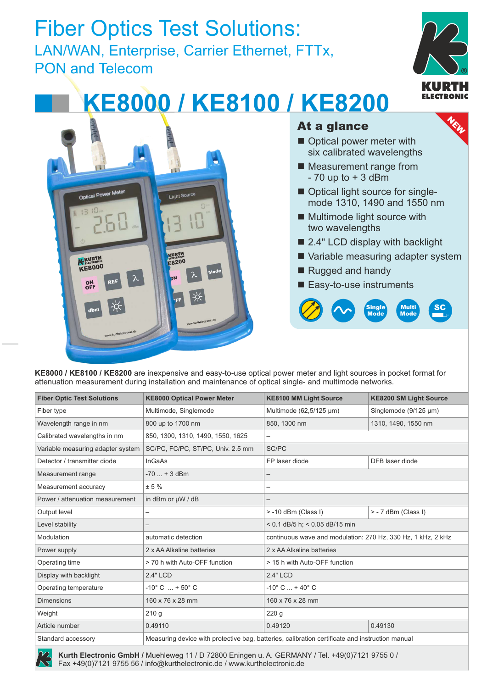## Fiber Optics Test Solutions: LAN/WAN, Enterprise, Carrier Ethernet, FTTx, PON and Telecom **®**



NEW

# **KE8000 / KE8100 / KE8200**



#### At a glance

- $\blacksquare$  Optical power meter with six calibrated wavelengths
- Measurement range from  $-70$  up to  $+3$  dBm
- Optical light source for singlemode 1310, 1490 and 1550 nm
- $\blacksquare$  Multimode light source with two wavelengths
- 2.4" LCD display with backlight
- Variable measuring adapter system
- Rugged and handy
- Easy-to-use instruments



**KE8000 / KE8100 / KE8200** are inexpensive and easy-to-use optical power meter and light sources in pocket format for attenuation measurement during installation and maintenance of optical single- and multimode networks.

| <b>Fiber Optic Test Solutions</b> | <b>KE8000 Optical Power Meter</b> | <b>KE8100 MM Light Source</b>                                                                   | <b>KE8200 SM Light Source</b> |  |
|-----------------------------------|-----------------------------------|-------------------------------------------------------------------------------------------------|-------------------------------|--|
| Fiber type                        | Multimode, Singlemode             | Multimode (62,5/125 µm)                                                                         | Singlemode (9/125 µm)         |  |
| Wavelength range in nm            | 800 up to 1700 nm                 | 850, 1300 nm<br>1310, 1490, 1550 nm                                                             |                               |  |
| Calibrated wavelengths in nm      | 850, 1300, 1310, 1490, 1550, 1625 | —                                                                                               |                               |  |
| Variable measuring adapter system | SC/PC, FC/PC, ST/PC, Univ. 2.5 mm | SC/PC                                                                                           |                               |  |
| Detector / transmitter diode      | <b>InGaAs</b>                     | FP laser diode                                                                                  | DFB laser diode               |  |
| Measurement range                 | $-70$ + 3 dBm                     | $\overline{\phantom{0}}$                                                                        |                               |  |
| Measurement accuracy              | ± 5%                              | —                                                                                               |                               |  |
| Power / attenuation measurement   | in dBm or µW / dB                 | —                                                                                               |                               |  |
| Output level                      | —                                 | > -10 dBm (Class I)                                                                             | > - 7 dBm (Class I)           |  |
| Level stability                   |                                   | < 0.1 dB/5 h; < 0.05 dB/15 min                                                                  |                               |  |
| Modulation                        | automatic detection               | continuous wave and modulation: 270 Hz, 330 Hz, 1 kHz, 2 kHz                                    |                               |  |
| Power supply                      | 2 x AA Alkaline batteries         | 2 x AA Alkaline batteries                                                                       |                               |  |
| Operating time                    | > 70 h with Auto-OFF function     | > 15 h with Auto-OFF function                                                                   |                               |  |
| Display with backlight            | 2.4" LCD                          | 2.4" LCD                                                                                        |                               |  |
| Operating temperature             | $-10^{\circ}$ C $ + 50^{\circ}$ C | $-10^{\circ}$ C $ + 40^{\circ}$ C                                                               |                               |  |
| <b>Dimensions</b>                 | 160 x 76 x 28 mm                  | 160 x 76 x 28 mm                                                                                |                               |  |
| Weight                            | 210q                              | 220q                                                                                            |                               |  |
| Article number                    | 0.49110                           | 0.49120                                                                                         | 0.49130                       |  |
| Standard accessory                |                                   | Measuring device with protective bag, batteries, calibration certificate and instruction manual |                               |  |

**Kurth Electronic GmbH /** Muehleweg 11 / D 72800 Eningen u. A. GERMANY / Tel. +49(0)7121 9755 0 / **®** Fax +49(0)7121 9755 56 / info@kurthelectronic.de / www.kurthelectronic.de